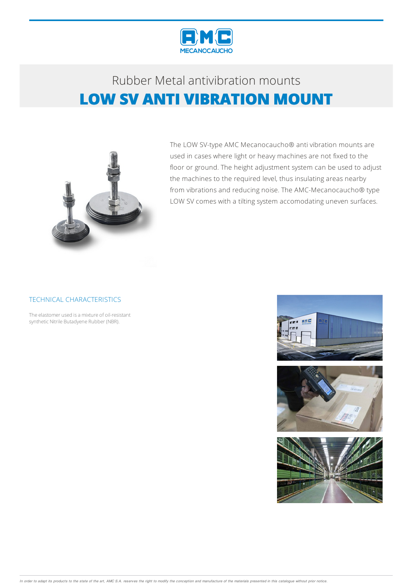

# Rubber Metalantivibration mounts **LOW SV ANTI VIBRATION MOUNT**



The LOW SV-type AMC Mecanocaucho® anti vibration mounts are used in cases where light or heavy machines are not fixed to the floor or ground. The height adjustment system can be used to adjust the machines to the required level, thus insulating areas nearby from vibrations and reducing noise. The AMC-Mecanocaucho® type LOW SV comes with a tilting system accomodating uneven surfaces.

### TECHNICAL CHARACTERISTICS

The elastomer used is a mixture of oil-resistant synthetic Nitrile Butadyene Rubber (NBR).

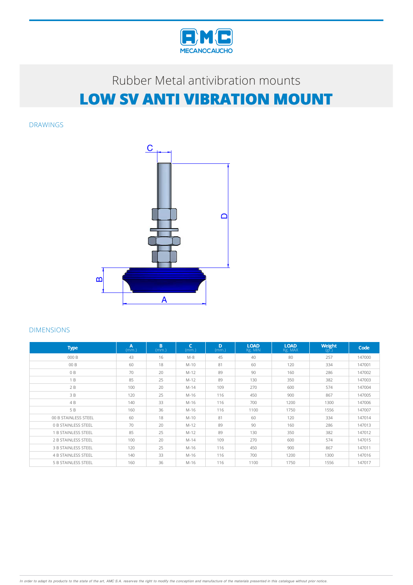

# Rubber Metal antivibration mounts **LOW SV ANTI VIBRATION MOUNT**

DRAWINGS



#### DIMENSIONS

| <b>Type</b>                | A<br>(mm.) | B.<br>(mm.) | $\mathsf{C}$<br>(mm.) | D<br>(mm.) | <b>LOAD</b><br>Kg. MIN | <b>LOAD</b><br>Kg. MAX | Weight<br>$(g\bar{r})$ | Code   |
|----------------------------|------------|-------------|-----------------------|------------|------------------------|------------------------|------------------------|--------|
| 000 B                      | 43         | 16          | $M-8$                 | 45         | 40                     | 80                     | 257                    | 147000 |
| 00 B                       | 60         | 18          | $M-10$                | 81         | 60                     | 120                    | 334                    | 147001 |
| 0B                         | 70         | 20          | $M-12$                | 89         | 90                     | 160                    | 286                    | 147002 |
| 1B                         | 85         | 25          | $M-12$                | 89         | 130                    | 350                    | 382                    | 147003 |
| 2B                         | 100        | 20          | $M-14$                | 109        | 270                    | 600                    | 574                    | 147004 |
| 3 B                        | 120        | 25          | M-16                  | 116        | 450                    | 900                    | 867                    | 147005 |
| 4B                         | 140        | 33          | M-16                  | 116        | 700                    | 1200                   | 1300                   | 147006 |
| 5 B                        | 160        | 36          | M-16                  | 116        | 1100                   | 1750                   | 1556                   | 147007 |
| 00 B STAINLESS STEEL       | 60         | 18          | $M-10$                | 81         | 60                     | 120                    | 334                    | 147014 |
| <b>0 B STAINLESS STEEL</b> | 70         | 20          | $M-12$                | 89         | 90                     | 160                    | 286                    | 147013 |
| 1 B STAINLESS STEEL        | 85         | 25          | $M-12$                | 89         | 130                    | 350                    | 382                    | 147012 |
| 2 B STAINLESS STEEL        | 100        | 20          | $M-14$                | 109        | 270                    | 600                    | 574                    | 147015 |
| <b>3 B STAINLESS STEEL</b> | 120        | 25          | M-16                  | 116        | 450                    | 900                    | 867                    | 147011 |
| <b>4 B STAINLESS STEEL</b> | 140        | 33          | M-16                  | 116        | 700                    | 1200                   | 1300                   | 147016 |
| <b>5 B STAINLESS STEEL</b> | 160        | 36          | $M-16$                | 116        | 1100                   | 1750                   | 1556                   | 147017 |